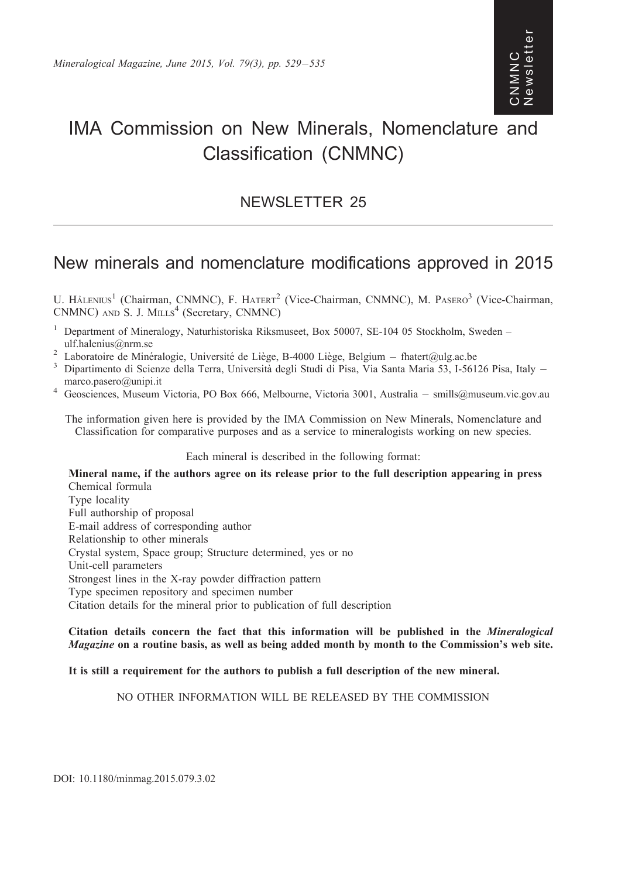## Newsletter ewslette CNMNC<br>Newslett ON<br>M<br>N<br>N<br>N

# IMA Commission on New Minerals, Nomenclature and Classification (CNMNC)

## NEWSLETTER 25

## New minerals and nomenclature modifications approved in 2015

U. HÅLENIUS<sup>1</sup> (Chairman, CNMNC), F. HATERT<sup>2</sup> (Vice-Chairman, CNMNC), M. PASERO<sup>3</sup> (Vice-Chairman, CNMNC) AND S. J. MILLS<sup>4</sup> (Secretary, CNMNC)

- <sup>1</sup> Department of Mineralogy, Naturhistoriska Riksmuseet, Box 50007, SE-104 05 Stockholm, Sweden –
- ulf.halenius@nrm.se<br><sup>2</sup> Laboratoire de Minéralogie, Université de Liège, B-4000 Liège, Belgium fhatert@ulg.ac.be
- $^2$  Laboratoire de Minéralogie, Université de Liège, B-4000 Liège, Belgium fhatert@ulg.ac.be<br><sup>3</sup> Dipartimento di Scienze della Terra, Università degli Studi di Pisa, Via Santa Maria 53, I-56126 Pisa, Italy –
- marco.pasero@unipi.it<br>4 Geosciences, Museum Victoria, PO Box 666, Melbourne, Victoria 3001, Australia smills@museum.vic.gov.au

The information given here is provided by the IMA Commission on New Minerals, Nomenclature and Classification for comparative purposes and as a service to mineralogists working on new species.

## Each mineral is described in the following format:

Mineral name, if the authors agree on its release prior to the full description appearing in press Chemical formula Type locality Full authorship of proposal E-mail address of corresponding author Relationship to other minerals Crystal system, Space group; Structure determined, yes or no Unit-cell parameters Strongest lines in the X-ray powder diffraction pattern Type specimen repository and specimen number Citation details for the mineral prior to publication of full description

## Citation details concern the fact that this information will be published in the Mineralogical Magazine on a routine basis, as well as being added month by month to the Commission's web site.

## It is still a requirement for the authors to publish a full description of the new mineral.

## NO OTHER INFORMATION WILL BE RELEASED BY THE COMMISSION

DOI: 10.1180/minmag.2015.079.3.02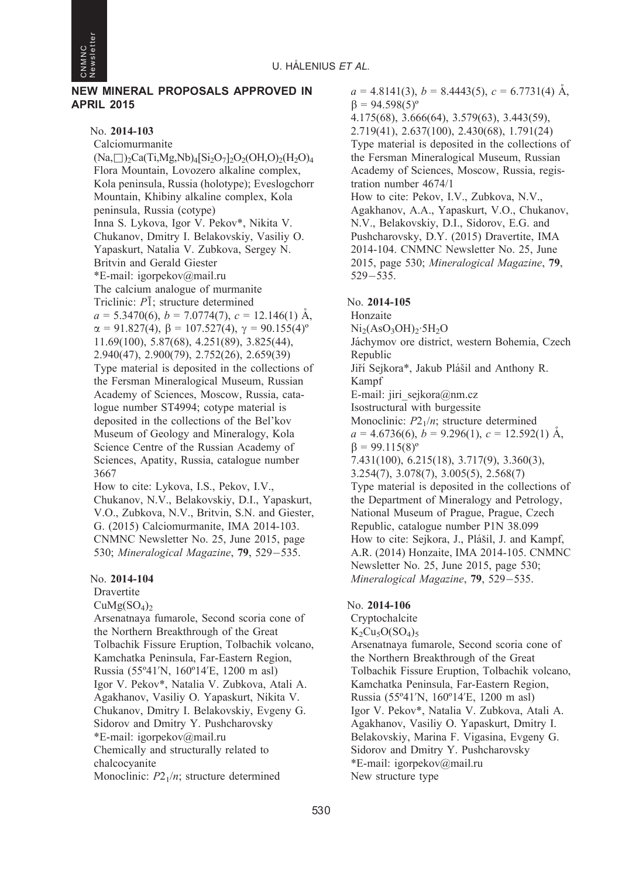

## NEW MINERAL PROPOSALS APPROVED IN APRIL 2015

### No. 2014-103

Calciomurmanite  $(Na, \Box)_{2}Ca(Ti, Mg, Nb)_{4}[Si_{2}O_{7}]_{2}O_{2}(OH, O)_{2}(H_{2}O)_{4}$ Flora Mountain, Lovozero alkaline complex, Kola peninsula, Russia (holotype); Eveslogchorr Mountain, Khibiny alkaline complex, Kola peninsula, Russia (cotype) Inna S. Lykova, Igor V. Pekov\*, Nikita V. Chukanov, Dmitry I. Belakovskiy, Vasiliy O. Yapaskurt, Natalia V. Zubkova, Sergey N. Britvin and Gerald Giester \*E-mail: igorpekov@mail.ru The calcium analogue of murmanite Triclinic:  $P\bar{1}$ ; structure determined  $a = 5.3470(6)$ ,  $b = 7.0774(7)$ ,  $c = 12.146(1)$  Å,  $\alpha = 91.827(4), \beta = 107.527(4), \gamma = 90.155(4)^{\circ}$ 11.69(100), 5.87(68), 4.251(89), 3.825(44), 2.940(47), 2.900(79), 2.752(26), 2.659(39) Type material is deposited in the collections of the Fersman Mineralogical Museum, Russian Academy of Sciences, Moscow, Russia, catalogue number ST4994; cotype material is deposited in the collections of the Bel'kov Museum of Geology and Mineralogy, Kola Science Centre of the Russian Academy of Sciences, Apatity, Russia, catalogue number 3667

How to cite: Lykova, I.S., Pekov, I.V., Chukanov, N.V., Belakovskiy, D.I., Yapaskurt, V.O., Zubkova, N.V., Britvin, S.N. and Giester, G. (2015) Calciomurmanite, IMA 2014-103. CNMNC Newsletter No. 25, June 2015, page 530; Mineralogical Magazine, **79**, 529-535.

## No. 2014-104

**Dravertite** 

 $CuMg(SO<sub>4</sub>)<sub>2</sub>$ 

Arsenatnaya fumarole, Second scoria cone of the Northern Breakthrough of the Great Tolbachik Fissure Eruption, Tolbachik volcano, Kamchatka Peninsula, Far-Eastern Region, Russia (55º41'N, 160º14'E, 1200 m asl) Igor V. Pekov\*, Natalia V. Zubkova, Atali A. Agakhanov, Vasiliy O. Yapaskurt, Nikita V. Chukanov, Dmitry I. Belakovskiy, Evgeny G. Sidorov and Dmitry Y. Pushcharovsky \*E-mail: igorpekov@mail.ru Chemically and structurally related to chalcocyanite Monoclinic:  $P2_1/n$ ; structure determined

 $a = 4.8141(3), b = 8.4443(5), c = 6.7731(4)$  Å,  $\beta = 94.598(5)^{\circ}$ 4.175(68), 3.666(64), 3.579(63), 3.443(59), 2.719(41), 2.637(100), 2.430(68), 1.791(24) Type material is deposited in the collections of the Fersman Mineralogical Museum, Russian Academy of Sciences, Moscow, Russia, registration number 4674/1 How to cite: Pekov, I.V., Zubkova, N.V., Agakhanov, A.A., Yapaskurt, V.O., Chukanov, N.V., Belakovskiy, D.I., Sidorov, E.G. and Pushcharovsky, D.Y. (2015) Dravertite, IMA 2014-104. CNMNC Newsletter No. 25, June 2015, page 530; Mineralogical Magazine, 79, 529-535.

## No. 2014-105

Honzaite  $Ni<sub>2</sub>(AsO<sub>3</sub>OH)<sub>2</sub>·5H<sub>2</sub>O$ Jáchymov ore district, western Bohemia, Czech Republic Jiří Sejkora\*, Jakub Plášil and Anthony R. Kampf E-mail: jiri\_sejkora@nm.cz Isostructural with burgessite Monoclinic:  $P2_1/n$ ; structure determined  $a = 4.6736(6), b = 9.296(1), c = 12.592(1)$  Å,  $\beta = 99.115(8)^{\circ}$ 7.431(100), 6.215(18), 3.717(9), 3.360(3), 3.254(7), 3.078(7), 3.005(5), 2.568(7) Type material is deposited in the collections of the Department of Mineralogy and Petrology, National Museum of Prague, Prague, Czech Republic, catalogue number P1N 38.099 How to cite: Sejkora, J., Plášil, J. and Kampf, A.R. (2014) Honzaite, IMA 2014-105. CNMNC Newsletter No. 25, June 2015, page 530; Mineralogical Magazine, 79, 529-535.

## No. 2014-106

Cryptochalcite  $K_2Cu_5O(SO_4)$ 5

Arsenatnaya fumarole, Second scoria cone of the Northern Breakthrough of the Great Tolbachik Fissure Eruption, Tolbachik volcano, Kamchatka Peninsula, Far-Eastern Region, Russia (55º41'N, 160º14'E, 1200 m asl) Igor V. Pekov\*, Natalia V. Zubkova, Atali A. Agakhanov, Vasiliy O. Yapaskurt, Dmitry I. Belakovskiy, Marina F. Vigasina, Evgeny G. Sidorov and Dmitry Y. Pushcharovsky \*E-mail: igorpekov@mail.ru New structure type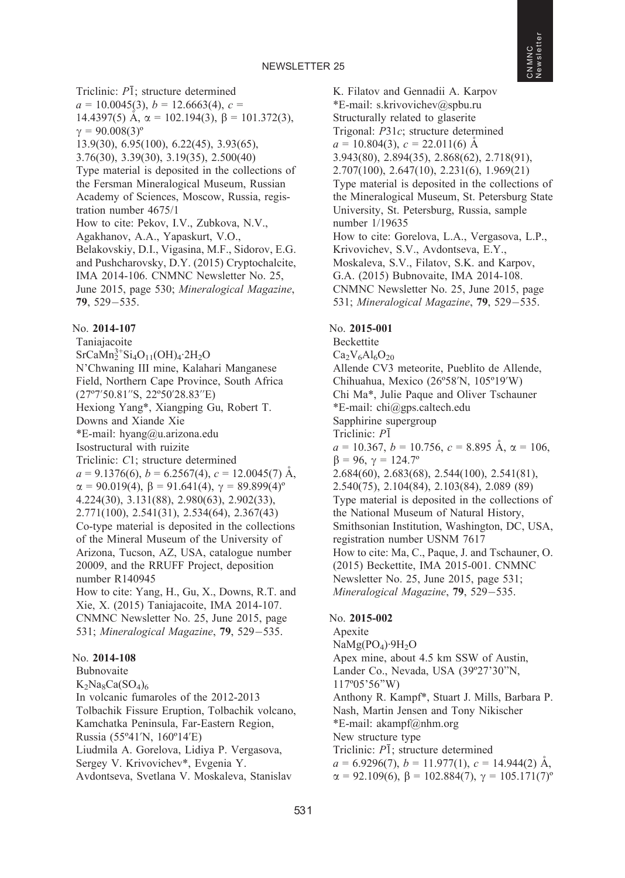Triclinic:  $P\bar{1}$ ; structure determined  $a = 10.0045(3), b = 12.6663(4), c =$ 14.4397(5) A,  $\alpha$  = 102.194(3),  $\beta$  = 101.372(3),  $\gamma = 90.008(3)^{\circ}$ 13.9(30), 6.95(100), 6.22(45), 3.93(65), 3.76(30), 3.39(30), 3.19(35), 2.500(40) Type material is deposited in the collections of the Fersman Mineralogical Museum, Russian Academy of Sciences, Moscow, Russia, registration number 4675/1 How to cite: Pekov, I.V., Zubkova, N.V., Agakhanov, A.A., Yapaskurt, V.O., Belakovskiy, D.I., Vigasina, M.F., Sidorov, E.G. and Pushcharovsky, D.Y. (2015) Cryptochalcite, IMA 2014-106. CNMNC Newsletter No. 25, June 2015, page 530; Mineralogical Magazine, 79, 529-535.

## No. 2014-107

Taniajacoite  $SrCaMn<sub>2</sub><sup>3+</sup>Si<sub>4</sub>O<sub>11</sub>(OH)<sub>4</sub>·2H<sub>2</sub>O$ N'Chwaning III mine, Kalahari Manganese Field, Northern Cape Province, South Africa (27º7'50.81''S, 22º50'28.83''E) Hexiong Yang\*, Xiangping Gu, Robert T. Downs and Xiande Xie \*E-mail: hyang@u.arizona.edu Isostructural with ruizite Triclinic: C1; structure determined  $a = 9.1376(6)$ ,  $b = 6.2567(4)$ ,  $c = 12.0045(7)$  Å,  $\alpha = 90.019(4), \beta = 91.641(4), \gamma = 89.899(4)^{\circ}$ 4.224(30), 3.131(88), 2.980(63), 2.902(33), 2.771(100), 2.541(31), 2.534(64), 2.367(43) Co-type material is deposited in the collections of the Mineral Museum of the University of Arizona, Tucson, AZ, USA, catalogue number 20009, and the RRUFF Project, deposition number R140945 How to cite: Yang, H., Gu, X., Downs, R.T. and

Xie, X. (2015) Taniajacoite, IMA 2014-107. CNMNC Newsletter No. 25, June 2015, page 531; Mineralogical Magazine, 79, 529-535.

## No. 2014-108

Bubnovaite  $K_2Na_8Ca(SO_4)_6$ In volcanic fumaroles of the 2012-2013 Tolbachik Fissure Eruption, Tolbachik volcano, Kamchatka Peninsula, Far-Eastern Region, Russia (55º41'N, 160º14'E) Liudmila A. Gorelova, Lidiya P. Vergasova, Sergey V. Krivovichev\*, Evgenia Y. Avdontseva, Svetlana V. Moskaleva, Stanislav

K. Filatov and Gennadii A. Karpov \*E-mail: s.krivovichev@spbu.ru Structurally related to glaserite Trigonal: P31c; structure determined  $a = 10.804(3), c = 22.011(6)$  Å 3.943(80), 2.894(35), 2.868(62), 2.718(91), 2.707(100), 2.647(10), 2.231(6), 1.969(21) Type material is deposited in the collections of the Mineralogical Museum, St. Petersburg State University, St. Petersburg, Russia, sample number 1/19635 How to cite: Gorelova, L.A., Vergasova, L.P., Krivovichev, S.V., Avdontseva, E.Y., Moskaleva, S.V., Filatov, S.K. and Karpov, G.A. (2015) Bubnovaite, IMA 2014-108. CNMNC Newsletter No. 25, June 2015, page 531; Mineralogical Magazine, 79, 529-535.

### No. 2015-001

Beckettite  $Ca<sub>2</sub>V<sub>6</sub>Al<sub>6</sub>O<sub>20</sub>$ Allende CV3 meteorite, Pueblito de Allende, Chihuahua, Mexico (26º58'N, 105º19'W) Chi Ma\*, Julie Paque and Oliver Tschauner \*E-mail: chi@gps.caltech.edu Sapphirine supergroup Triclinic:  $P\overline{1}$  $a = 10.367, b = 10.756, c = 8.895 \text{ Å}, \alpha = 106,$  $\beta = 96, \gamma = 124.7^{\circ}$ 2.684(60), 2.683(68), 2.544(100), 2.541(81), 2.540(75), 2.104(84), 2.103(84), 2.089 (89) Type material is deposited in the collections of the National Museum of Natural History, Smithsonian Institution, Washington, DC, USA, registration number USNM 7617 How to cite: Ma, C., Paque, J. and Tschauner, O. (2015) Beckettite, IMA 2015-001. CNMNC Newsletter No. 25, June 2015, page 531; Mineralogical Magazine, 79, 529–535.

## No. 2015-002

Apexite  $NaMg(PO<sub>4</sub>)·9H<sub>2</sub>O$ Apex mine, about 4.5 km SSW of Austin, Lander Co., Nevada, USA (39º27'30''N, 117º05'56''W) Anthony R. Kampf\*, Stuart J. Mills, Barbara P. Nash, Martin Jensen and Tony Nikischer \*E-mail: akampf@nhm.org New structure type Triclinic:  $P\overline{1}$ ; structure determined  $a = 6.9296(7)$ ,  $b = 11.977(1)$ ,  $c = 14.944(2)$  Å,  $\alpha = 92.109(6)$ ,  $\beta = 102.884(7)$ ,  $\gamma = 105.171(7)$ <sup>o</sup>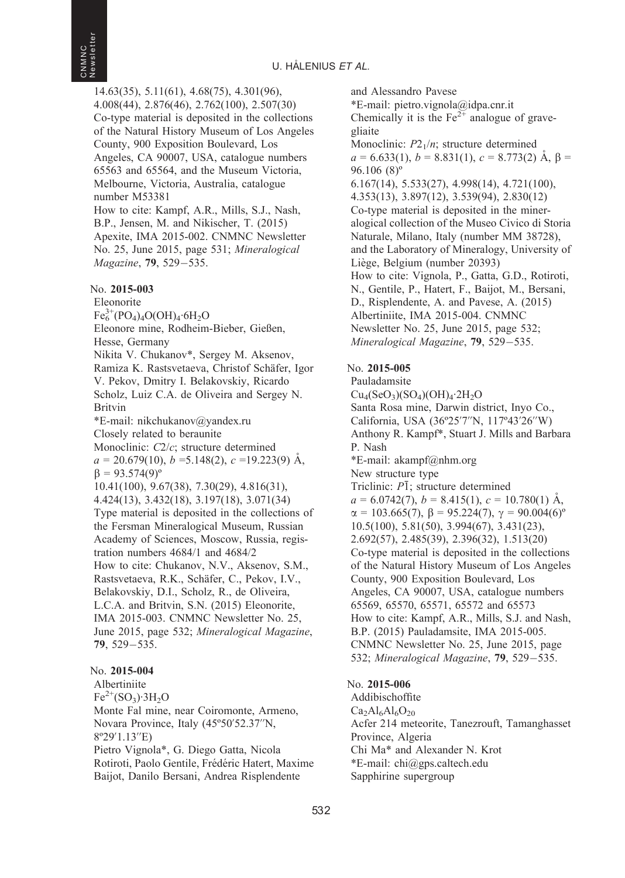14.63(35), 5.11(61), 4.68(75), 4.301(96), 4.008(44), 2.876(46), 2.762(100), 2.507(30) Co-type material is deposited in the collections of the Natural History Museum of Los Angeles County, 900 Exposition Boulevard, Los Angeles, CA 90007, USA, catalogue numbers 65563 and 65564, and the Museum Victoria, Melbourne, Victoria, Australia, catalogue number M53381 How to cite: Kampf, A.R., Mills, S.J., Nash, B.P., Jensen, M. and Nikischer, T. (2015) Apexite, IMA 2015-002. CNMNC Newsletter No. 25, June 2015, page 531; Mineralogical

Magazine, 79, 529-535.

## No. 2015-003

Eleonorite  $Fe_6^{3+}(PO_4)_4O(OH)_4·6H_2O$ Eleonore mine, Rodheim-Bieber, Gießen, Hesse, Germany Nikita V. Chukanov\*, Sergey M. Aksenov, Ramiza K. Rastsvetaeva, Christof Schäfer, Igor V. Pekov, Dmitry I. Belakovskiy, Ricardo Scholz, Luiz C.A. de Oliveira and Sergey N. Britvin \*E-mail: nikchukanov@yandex.ru Closely related to beraunite Monoclinic: C2/c; structure determined  $a = 20.679(10), b = 5.148(2), c = 19.223(9)$  Å,  $\beta = 93.574(9)^{\circ}$ 10.41(100), 9.67(38), 7.30(29), 4.816(31), 4.424(13), 3.432(18), 3.197(18), 3.071(34) Type material is deposited in the collections of the Fersman Mineralogical Museum, Russian Academy of Sciences, Moscow, Russia, registration numbers 4684/1 and 4684/2 How to cite: Chukanov, N.V., Aksenov, S.M., Rastsvetaeva, R.K., Schäfer, C., Pekov, I.V., Belakovskiy, D.I., Scholz, R., de Oliveira, L.C.A. and Britvin, S.N. (2015) Eleonorite, IMA 2015-003. CNMNC Newsletter No. 25, June 2015, page 532; Mineralogical Magazine, 79, 529-535.

## No. 2015-004

Albertiniite  $Fe^{2+}(SO_3) \cdot 3H_2O$ Monte Fal mine, near Coiromonte, Armeno, Novara Province, Italy (45º50'52.37''N, 8º29'1.13''E) Pietro Vignola\*, G. Diego Gatta, Nicola Rotiroti, Paolo Gentile, Frédéric Hatert, Maxime Baijot, Danilo Bersani, Andrea Risplendente

and Alessandro Pavese \*E-mail: pietro.vignola@idpa.cnr.it Chemically it is the  $Fe^{2+}$  analogue of gravegliaite Monoclinic:  $P2_1/n$ ; structure determined  $a = 6.633(1), b = 8.831(1), c = 8.773(2)$  A,  $\beta =$ 96.106 (8)º 6.167(14), 5.533(27), 4.998(14), 4.721(100), 4.353(13), 3.897(12), 3.539(94), 2.830(12) Co-type material is deposited in the mineralogical collection of the Museo Civico di Storia Naturale, Milano, Italy (number MM 38728), and the Laboratory of Mineralogy, University of Liège, Belgium (number 20393) How to cite: Vignola, P., Gatta, G.D., Rotiroti, N., Gentile, P., Hatert, F., Baijot, M., Bersani, D., Risplendente, A. and Pavese, A. (2015) Albertiniite, IMA 2015-004. CNMNC Newsletter No. 25, June 2015, page 532; Mineralogical Magazine, 79, 529-535.

## No. 2015-005

Pauladamsite  $Cu<sub>4</sub>(SeO<sub>3</sub>)(SO<sub>4</sub>)(OH)<sub>4</sub>·2H<sub>2</sub>O$ Santa Rosa mine, Darwin district, Inyo Co., California, USA (36º25'7''N, 117º43'26''W) Anthony R. Kampf\*, Stuart J. Mills and Barbara P. Nash \*E-mail: akampf@nhm.org New structure type Triclinic:  $P\bar{1}$ ; structure determined  $a = 6.0742(7)$ ,  $b = 8.415(1)$ ,  $c = 10.780(1)$  Å,  $\alpha = 103.665(7), \beta = 95.224(7), \gamma = 90.004(6)^{\circ}$ 10.5(100), 5.81(50), 3.994(67), 3.431(23), 2.692(57), 2.485(39), 2.396(32), 1.513(20) Co-type material is deposited in the collections of the Natural History Museum of Los Angeles County, 900 Exposition Boulevard, Los Angeles, CA 90007, USA, catalogue numbers 65569, 65570, 65571, 65572 and 65573 How to cite: Kampf, A.R., Mills, S.J. and Nash, B.P. (2015) Pauladamsite, IMA 2015-005. CNMNC Newsletter No. 25, June 2015, page 532; Mineralogical Magazine, 79, 529-535.

## No. 2015-006

Addibischoffite  $Ca<sub>2</sub>Al<sub>6</sub>Al<sub>6</sub>O<sub>20</sub>$ Acfer 214 meteorite, Tanezrouft, Tamanghasset Province, Algeria Chi Ma\* and Alexander N. Krot \*E-mail: chi@gps.caltech.edu Sapphirine supergroup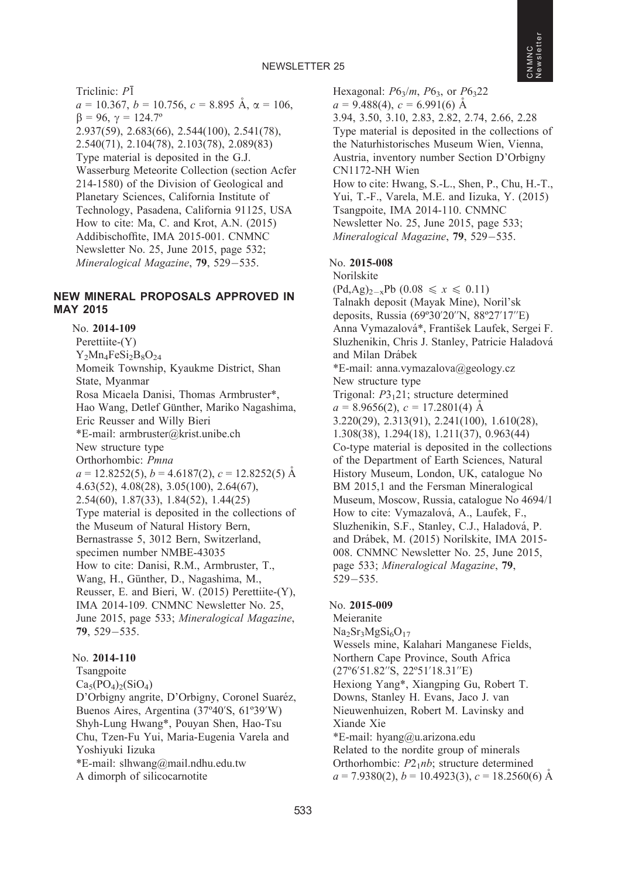Triclinic:  $P\overline{1}$  $a = 10.367, b = 10.756, c = 8.895 \text{ Å}, \alpha = 106,$  $\beta = 96, \gamma = 124.7^{\circ}$ 2.937(59), 2.683(66), 2.544(100), 2.541(78), 2.540(71), 2.104(78), 2.103(78), 2.089(83) Type material is deposited in the G.J. Wasserburg Meteorite Collection (section Acfer 214-1580) of the Division of Geological and Planetary Sciences, California Institute of Technology, Pasadena, California 91125, USA How to cite: Ma, C. and Krot, A.N. (2015) Addibischoffite, IMA 2015-001. CNMNC Newsletter No. 25, June 2015, page 532; Mineralogical Magazine, 79, 529-535.

## NEW MINERAL PROPOSALS APPROVED IN MAY 2015

No. 2014-109 Perettiite-(Y)  $Y_2Mn_4FeSi_2B_8O_{24}$ Momeik Township, Kyaukme District, Shan State, Myanmar Rosa Micaela Danisi, Thomas Armbruster\*, Hao Wang, Detlef Günther, Mariko Nagashima, Eric Reusser and Willy Bieri \*E-mail: armbruster@krist.unibe.ch New structure type Orthorhombic: Pmna  $a = 12.8252(5)$ ,  $b = 4.6187(2)$ ,  $c = 12.8252(5)$  Å 4.63(52), 4.08(28), 3.05(100), 2.64(67), 2.54(60), 1.87(33), 1.84(52), 1.44(25) Type material is deposited in the collections of the Museum of Natural History Bern, Bernastrasse 5, 3012 Bern, Switzerland, specimen number NMBE-43035 How to cite: Danisi, R.M., Armbruster, T., Wang, H., Günther, D., Nagashima, M., Reusser, E. and Bieri, W. (2015) Perettiite-(Y), IMA 2014-109. CNMNC Newsletter No. 25, June 2015, page 533; Mineralogical Magazine, 79, 529-535.

## No. 2014-110 Tsangpoite  $Ca_5(PO_4)_2(SiO_4)$ D'Orbigny angrite, D'Orbigny, Coronel Suaréz, Buenos Aires, Argentina (37º40'S, 61º39'W) Shyh-Lung Hwang\*, Pouyan Shen, Hao-Tsu Chu, Tzen-Fu Yui, Maria-Eugenia Varela and Yoshiyuki Iizuka \*E-mail: slhwang@mail.ndhu.edu.tw A dimorph of silicocarnotite

Hexagonal:  $P6_3/m$ ,  $P6_3$ , or  $P6_322$  $a = 9.488(4)$ ,  $c = 6.991(6)$  Å 3.94, 3.50, 3.10, 2.83, 2.82, 2.74, 2.66, 2.28 Type material is deposited in the collections of the Naturhistorisches Museum Wien, Vienna, Austria, inventory number Section D'Orbigny CN1172-NH Wien How to cite: Hwang, S.-L., Shen, P., Chu, H.-T., Yui, T.-F., Varela, M.E. and Iizuka, Y. (2015) Tsangpoite, IMA 2014-110. CNMNC Newsletter No. 25, June 2015, page 533; Mineralogical Magazine, 79, 529–535.

## No. 2015-008

Norilskite

 $(Pd, Ag)_{2-x}Pb (0.08 \le x \le 0.11)$ Talnakh deposit (Mayak Mine), Noril'sk deposits, Russia (69º30'20''N, 88º27'17''E) Anna Vymazalová\*, František Laufek, Sergei F. Sluzhenikin, Chris J. Stanley, Patricie Haladová and Milan Drábek \*E-mail: anna.vymazalova@geology.cz

New structure type

Trigonal:  $P3<sub>1</sub>21$ ; structure determined  $a = 8.9656(2), c = 17.2801(4)$  Å 3.220(29), 2.313(91), 2.241(100), 1.610(28), 1.308(38), 1.294(18), 1.211(37), 0.963(44) Co-type material is deposited in the collections of the Department of Earth Sciences, Natural History Museum, London, UK, catalogue No BM 2015,1 and the Fersman Mineralogical Museum, Moscow, Russia, catalogue No 4694/1 How to cite: Vymazalová, A., Laufek, F., Sluzhenikin, S.F., Stanley, C.J., Haladová, P. and Drábek, M. (2015) Norilskite, IMA 2015-008. CNMNC Newsletter No. 25, June 2015, page 533; Mineralogical Magazine, 79, 529-535.

## No. 2015-009

Meieranite  $Na<sub>2</sub>Sr<sub>3</sub>MgSi<sub>6</sub>O<sub>17</sub>$ Wessels mine, Kalahari Manganese Fields, Northern Cape Province, South Africa (27º6'51.82''S, 22º51'18.31''E) Hexiong Yang\*, Xiangping Gu, Robert T. Downs, Stanley H. Evans, Jaco J. van Nieuwenhuizen, Robert M. Lavinsky and Xiande Xie \*E-mail: hyang@u.arizona.edu Related to the nordite group of minerals Orthorhombic:  $P2<sub>1</sub>nb$ ; structure determined  $a = 7.9380(2)$ ,  $b = 10.4923(3)$ ,  $c = 18.2560(6)$  Å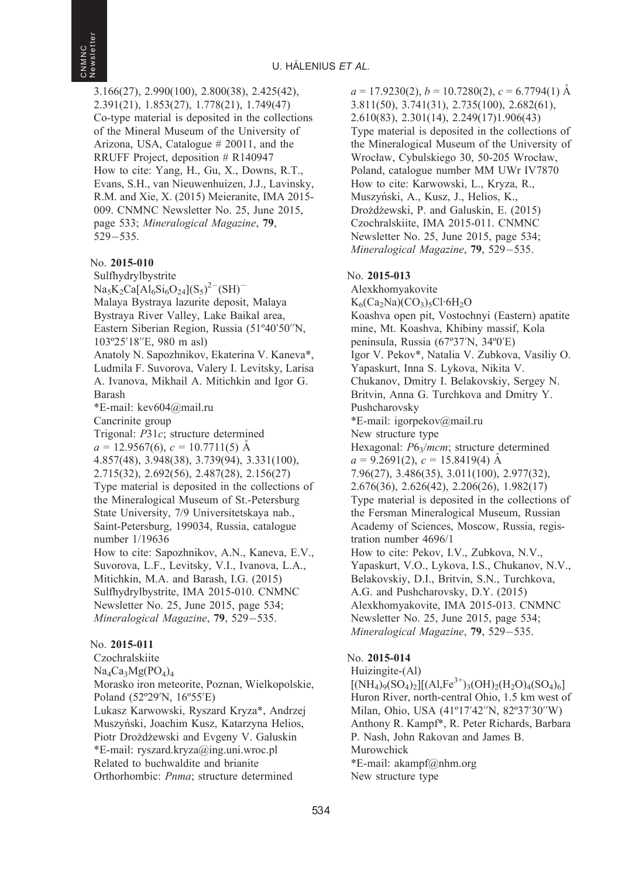3.166(27), 2.990(100), 2.800(38), 2.425(42), 2.391(21), 1.853(27), 1.778(21), 1.749(47) Co-type material is deposited in the collections of the Mineral Museum of the University of Arizona, USA, Catalogue # 20011, and the RRUFF Project, deposition # R140947 How to cite: Yang, H., Gu, X., Downs, R.T., Evans, S.H., van Nieuwenhuizen, J.J., Lavinsky, R.M. and Xie, X. (2015) Meieranite, IMA 2015- 009. CNMNC Newsletter No. 25, June 2015, page 533; Mineralogical Magazine, 79, 529-535.

## No. 2015-010

Sulfhydrylbystrite  $\text{Na}_5\text{K}_2\text{Ca}[\text{Al}_6\text{Si}_6\text{O}_{24}](\text{S}_5)^{2-}(\text{SH})^{-1}$ Malaya Bystraya lazurite deposit, Malaya Bystraya River Valley, Lake Baikal area, Eastern Siberian Region, Russia (51º40'50''N, 103º25'18''E, 980 m asl) Anatoly N. Sapozhnikov, Ekaterina V. Kaneva\*, Ludmila F. Suvorova, Valery I. Levitsky, Larisa A. Ivanova, Mikhail A. Mitichkin and Igor G. Barash \*E-mail: kev604@mail.ru Cancrinite group Trigonal: P31c; structure determined  $a = 12.9567(6), c = 10.7711(5)$  Å 4.857(48), 3.948(38), 3.739(94), 3.331(100), 2.715(32), 2.692(56), 2.487(28), 2.156(27) Type material is deposited in the collections of the Mineralogical Museum of St.-Petersburg State University, 7/9 Universitetskaya nab., Saint-Petersburg, 199034, Russia, catalogue number 1/19636 How to cite: Sapozhnikov, A.N., Kaneva, E.V., Suvorova, L.F., Levitsky, V.I., Ivanova, L.A., Mitichkin, M.A. and Barash, I.G. (2015) Sulfhydrylbystrite, IMA 2015-010. CNMNC Newsletter No. 25, June 2015, page 534; Mineralogical Magazine, **79**, 529–535.

## No. 2015-011

Czochralskiite  $Na_4Ca_3Mg(PO_4)_4$ Morasko iron meteorite, Poznan, Wielkopolskie, Poland (52º29'N, 16º55'E) Lukasz Karwowski, Ryszard Kryza\*, Andrzej Muszyński, Joachim Kusz, Katarzyna Helios, Piotr Drożdżewski and Evgeny V. Galuskin \*E-mail: ryszard.kryza@ing.uni.wroc.pl Related to buchwaldite and brianite Orthorhombic: Pnma; structure determined

 $a = 17.9230(2), b = 10.7280(2), c = 6.7794(1)$  Å 3.811(50), 3.741(31), 2.735(100), 2.682(61), 2.610(83), 2.301(14), 2.249(17)1.906(43) Type material is deposited in the collections of the Mineralogical Museum of the University of Wrocław, Cybulskiego 30, 50-205 Wrocław, Poland, catalogue number MM UWr IV7870 How to cite: Karwowski, L., Kryza, R., Muszyński, A., Kusz, J., Helios, K., Drożdżewski, P. and Galuskin, E. (2015) Czochralskiite, IMA 2015-011. CNMNC Newsletter No. 25, June 2015, page 534; Mineralogical Magazine, 79, 529-535.

## No. 2015-013

Alexkhomyakovite  $K_6(Ca_2Na)(CO_3)_5Cl·6H_2O$ Koashva open pit, Vostochnyi (Eastern) apatite mine, Mt. Koashva, Khibiny massif, Kola peninsula, Russia (67º37'N, 34º0'E) Igor V. Pekov\*, Natalia V. Zubkova, Vasiliy O. Yapaskurt, Inna S. Lykova, Nikita V. Chukanov, Dmitry I. Belakovskiy, Sergey N. Britvin, Anna G. Turchkova and Dmitry Y. Pushcharovsky \*E-mail: igorpekov@mail.ru New structure type Hexagonal:  $P6_3/mcm$ ; structure determined  $a = 9.2691(2), c = 15.8419(4)$  Å 7.96(27), 3.486(35), 3.011(100), 2.977(32), 2.676(36), 2.626(42), 2.206(26), 1.982(17) Type material is deposited in the collections of the Fersman Mineralogical Museum, Russian Academy of Sciences, Moscow, Russia, registration number 4696/1 How to cite: Pekov, I.V., Zubkova, N.V., Yapaskurt, V.O., Lykova, I.S., Chukanov, N.V., Belakovskiy, D.I., Britvin, S.N., Turchkova, A.G. and Pushcharovsky, D.Y. (2015) Alexkhomyakovite, IMA 2015-013. CNMNC Newsletter No. 25, June 2015, page 534; Mineralogical Magazine, 79, 529-535.

## No. 2015-014

Huizingite-(Al)  $[(NH_4)_9(SO_4)_2][(Al,Fe^{3+})_3(OH)_2(H_2O)_4(SO_4)_6]$ Huron River, north-central Ohio, 1.5 km west of Milan, Ohio, USA (41º17'42''N, 82º37'30''W) Anthony R. Kampf\*, R. Peter Richards, Barbara P. Nash, John Rakovan and James B. Murowchick \*E-mail: akampf@nhm.org New structure type